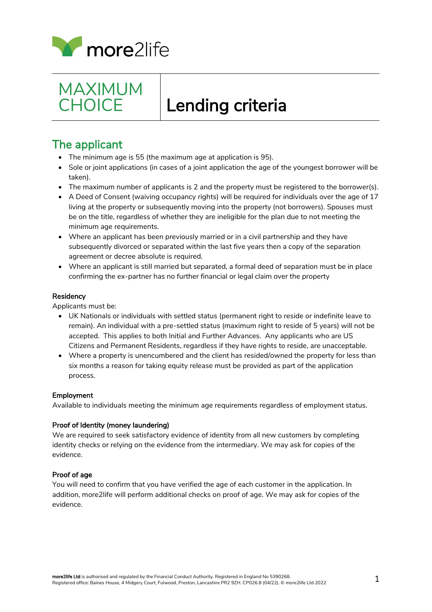



# $\overline{a}$ Lending criteria

## The applicant

- The minimum age is 55 (the maximum age at application is 95).
- Sole or joint applications (in cases of a joint application the age of the youngest borrower will be taken).
- The maximum number of applicants is 2 and the property must be registered to the borrower(s).
- A Deed of Consent (waiving occupancy rights) will be required for individuals over the age of 17 living at the property or subsequently moving into the property (not borrowers). Spouses must be on the title, regardless of whether they are ineligible for the plan due to not meeting the minimum age requirements.
- Where an applicant has been previously married or in a civil partnership and they have subsequently divorced or separated within the last five years then a copy of the separation agreement or decree absolute is required.
- Where an applicant is still married but separated, a formal deed of separation must be in place confirming the ex-partner has no further financial or legal claim over the property

### **Residency**

Applicants must be:

- UK Nationals or individuals with settled status (permanent right to reside or indefinite leave to remain). An individual with a pre-settled status (maximum right to reside of 5 years) will not be accepted. This applies to both Initial and Further Advances. Any applicants who are US Citizens and Permanent Residents, regardless if they have rights to reside, are unacceptable.
- Where a property is unencumbered and the client has resided/owned the property for less than six months a reason for taking equity release must be provided as part of the application process.

### Employment

Available to individuals meeting the minimum age requirements regardless of employment status.

### Proof of Identity (money laundering)

We are required to seek satisfactory evidence of identity from all new customers by completing identity checks or relying on the evidence from the intermediary. We may ask for copies of the evidence.

### Proof of age

You will need to confirm that you have verified the age of each customer in the application. In addition, more2life will perform additional checks on proof of age. We may ask for copies of the evidence.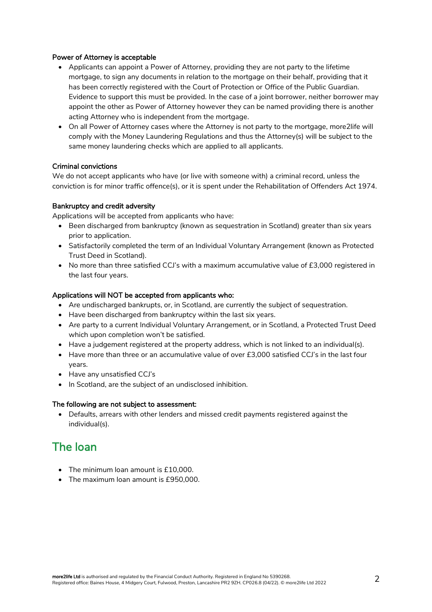### Power of Attorney is acceptable

- Applicants can appoint a Power of Attorney, providing they are not party to the lifetime mortgage, to sign any documents in relation to the mortgage on their behalf, providing that it has been correctly registered with the Court of Protection or Office of the Public Guardian. Evidence to support this must be provided. In the case of a joint borrower, neither borrower may appoint the other as Power of Attorney however they can be named providing there is another acting Attorney who is independent from the mortgage.
- On all Power of Attorney cases where the Attorney is not party to the mortgage, more2life will comply with the Money Laundering Regulations and thus the Attorney(s) will be subject to the same money laundering checks which are applied to all applicants.

### Criminal convictions

We do not accept applicants who have (or live with someone with) a criminal record, unless the conviction is for minor traffic offence(s), or it is spent under the Rehabilitation of Offenders Act 1974.

### Bankruptcy and credit adversity

Applications will be accepted from applicants who have:

- Been discharged from bankruptcy (known as sequestration in Scotland) greater than six years prior to application.
- Satisfactorily completed the term of an Individual Voluntary Arrangement (known as Protected Trust Deed in Scotland).
- No more than three satisfied CCJ's with a maximum accumulative value of £3,000 registered in the last four years.

### Applications will NOT be accepted from applicants who:

- Are undischarged bankrupts, or, in Scotland, are currently the subject of sequestration.
- Have been discharged from bankruptcy within the last six years.
- Are party to a current Individual Voluntary Arrangement, or in Scotland, a Protected Trust Deed which upon completion won't be satisfied.
- Have a judgement registered at the property address, which is not linked to an individual(s).
- Have more than three or an accumulative value of over £3,000 satisfied CCJ's in the last four years.
- Have any unsatisfied CCJ's
- In Scotland, are the subject of an undisclosed inhibition.

### The following are not subject to assessment:

 Defaults, arrears with other lenders and missed credit payments registered against the individual(s).

### The loan

- The minimum loan amount is £10,000.
- The maximum loan amount is £950,000.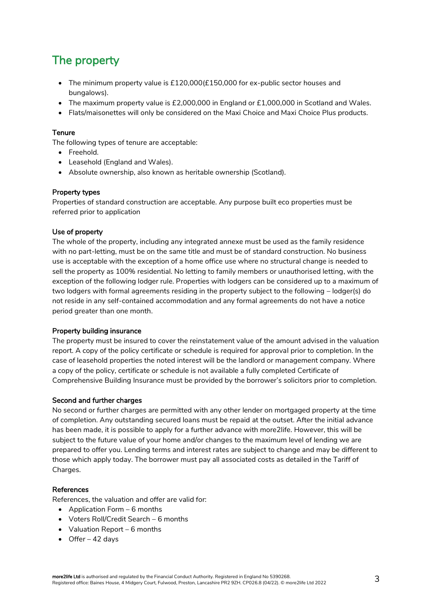# The property

- The minimum property value is £120,000(£150,000 for ex-public sector houses and bungalows).
- The maximum property value is £2,000,000 in England or £1,000,000 in Scotland and Wales.
- Flats/maisonettes will only be considered on the Maxi Choice and Maxi Choice Plus products.

### **Tenure**

The following types of tenure are acceptable:

- Freehold.
- Leasehold (England and Wales).
- Absolute ownership, also known as heritable ownership (Scotland).

### Property types

Properties of standard construction are acceptable. Any purpose built eco properties must be referred prior to application

### Use of property

The whole of the property, including any integrated annexe must be used as the family residence with no part-letting, must be on the same title and must be of standard construction. No business use is acceptable with the exception of a home office use where no structural change is needed to sell the property as 100% residential. No letting to family members or unauthorised letting, with the exception of the following lodger rule. Properties with lodgers can be considered up to a maximum of two lodgers with formal agreements residing in the property subject to the following – lodger(s) do not reside in any self-contained accommodation and any formal agreements do not have a notice period greater than one month.

### Property building insurance

The property must be insured to cover the reinstatement value of the amount advised in the valuation report. A copy of the policy certificate or schedule is required for approval prior to completion. In the case of leasehold properties the noted interest will be the landlord or management company. Where a copy of the policy, certificate or schedule is not available a fully completed Certificate of Comprehensive Building Insurance must be provided by the borrower's solicitors prior to completion.

#### Second and further charges

No second or further charges are permitted with any other lender on mortgaged property at the time of completion. Any outstanding secured loans must be repaid at the outset. After the initial advance has been made, it is possible to apply for a further advance with more2life. However, this will be subject to the future value of your home and/or changes to the maximum level of lending we are prepared to offer you. Lending terms and interest rates are subject to change and may be different to those which apply today. The borrower must pay all associated costs as detailed in the Tariff of Charges.

#### References

References, the valuation and offer are valid for:

- Application Form  $-6$  months
- Voters Roll/Credit Search 6 months
- Valuation Report 6 months
- $\bullet$  Offer 42 days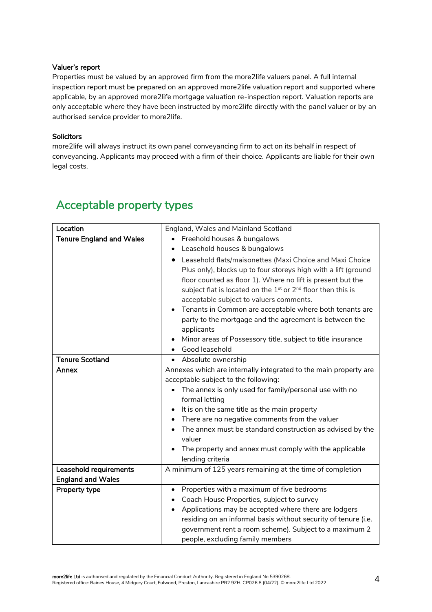### Valuer's report

Properties must be valued by an approved firm from the more2life valuers panel. A full internal inspection report must be prepared on an approved more2life valuation report and supported where applicable, by an approved more2life mortgage valuation re-inspection report. Valuation reports are only acceptable where they have been instructed by more2life directly with the panel valuer or by an authorised service provider to more2life.

### **Solicitors**

more2life will always instruct its own panel conveyancing firm to act on its behalf in respect of conveyancing. Applicants may proceed with a firm of their choice. Applicants are liable for their own legal costs.

| Location                        | England, Wales and Mainland Scotland                                                 |
|---------------------------------|--------------------------------------------------------------------------------------|
| <b>Tenure England and Wales</b> | Freehold houses & bungalows                                                          |
|                                 | Leasehold houses & bungalows<br>٠                                                    |
|                                 | Leasehold flats/maisonettes (Maxi Choice and Maxi Choice                             |
|                                 | Plus only), blocks up to four storeys high with a lift (ground                       |
|                                 | floor counted as floor 1). Where no lift is present but the                          |
|                                 | subject flat is located on the 1 <sup>st</sup> or 2 <sup>nd</sup> floor then this is |
|                                 | acceptable subject to valuers comments.                                              |
|                                 | Tenants in Common are acceptable where both tenants are<br>$\bullet$                 |
|                                 | party to the mortgage and the agreement is between the                               |
|                                 | applicants                                                                           |
|                                 | Minor areas of Possessory title, subject to title insurance                          |
|                                 | Good leasehold                                                                       |
| <b>Tenure Scotland</b>          | • Absolute ownership                                                                 |
| Annex                           | Annexes which are internally integrated to the main property are                     |
|                                 | acceptable subject to the following:                                                 |
|                                 | The annex is only used for family/personal use with no                               |
|                                 | formal letting                                                                       |
|                                 | It is on the same title as the main property<br>$\bullet$                            |
|                                 | There are no negative comments from the valuer<br>$\bullet$                          |
|                                 | The annex must be standard construction as advised by the                            |
|                                 | valuer                                                                               |
|                                 | The property and annex must comply with the applicable                               |
|                                 | lending criteria                                                                     |
| Leasehold requirements          | A minimum of 125 years remaining at the time of completion                           |
| <b>England and Wales</b>        |                                                                                      |
| Property type                   | Properties with a maximum of five bedrooms<br>٠                                      |
|                                 | Coach House Properties, subject to survey<br>$\bullet$                               |
|                                 | Applications may be accepted where there are lodgers<br>٠                            |
|                                 | residing on an informal basis without security of tenure (i.e.                       |
|                                 | government rent a room scheme). Subject to a maximum 2                               |
|                                 | people, excluding family members                                                     |

### Acceptable property types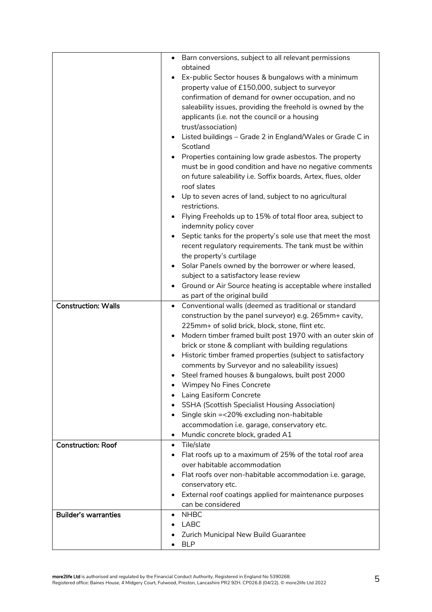| <b>Construction: Walls</b> | Barn conversions, subject to all relevant permissions<br>obtained<br>Ex-public Sector houses & bungalows with a minimum<br>property value of £150,000, subject to surveyor<br>confirmation of demand for owner occupation, and no<br>saleability issues, providing the freehold is owned by the<br>applicants (i.e. not the council or a housing<br>trust/association)<br>Listed buildings - Grade 2 in England/Wales or Grade C in<br>Scotland<br>Properties containing low grade asbestos. The property<br>must be in good condition and have no negative comments<br>on future saleability i.e. Soffix boards, Artex, flues, older<br>roof slates<br>Up to seven acres of land, subject to no agricultural<br>restrictions.<br>Flying Freeholds up to 15% of total floor area, subject to<br>indemnity policy cover<br>Septic tanks for the property's sole use that meet the most<br>recent regulatory requirements. The tank must be within<br>the property's curtilage<br>Solar Panels owned by the borrower or where leased,<br>subject to a satisfactory lease review<br>Ground or Air Source heating is acceptable where installed<br>as part of the original build<br>Conventional walls (deemed as traditional or standard<br>$\bullet$<br>construction by the panel surveyor) e.g. 265mm+ cavity,<br>225mm+ of solid brick, block, stone, flint etc.<br>Modern timber framed built post 1970 with an outer skin of<br>brick or stone & compliant with building regulations |
|----------------------------|----------------------------------------------------------------------------------------------------------------------------------------------------------------------------------------------------------------------------------------------------------------------------------------------------------------------------------------------------------------------------------------------------------------------------------------------------------------------------------------------------------------------------------------------------------------------------------------------------------------------------------------------------------------------------------------------------------------------------------------------------------------------------------------------------------------------------------------------------------------------------------------------------------------------------------------------------------------------------------------------------------------------------------------------------------------------------------------------------------------------------------------------------------------------------------------------------------------------------------------------------------------------------------------------------------------------------------------------------------------------------------------------------------------------------------------------------------------------------------------|
|                            | Historic timber framed properties (subject to satisfactory<br>comments by Surveyor and no saleability issues)<br>Steel framed houses & bungalows, built post 2000<br>Wimpey No Fines Concrete                                                                                                                                                                                                                                                                                                                                                                                                                                                                                                                                                                                                                                                                                                                                                                                                                                                                                                                                                                                                                                                                                                                                                                                                                                                                                          |
|                            | Laing Easiform Concrete<br><b>SSHA (Scottish Specialist Housing Association)</b><br>Single skin =<20% excluding non-habitable                                                                                                                                                                                                                                                                                                                                                                                                                                                                                                                                                                                                                                                                                                                                                                                                                                                                                                                                                                                                                                                                                                                                                                                                                                                                                                                                                          |
|                            | accommodation i.e. garage, conservatory etc.<br>Mundic concrete block, graded A1                                                                                                                                                                                                                                                                                                                                                                                                                                                                                                                                                                                                                                                                                                                                                                                                                                                                                                                                                                                                                                                                                                                                                                                                                                                                                                                                                                                                       |
| <b>Construction: Roof</b>  | Tile/slate<br>$\bullet$<br>Flat roofs up to a maximum of 25% of the total roof area<br>$\bullet$<br>over habitable accommodation<br>Flat roofs over non-habitable accommodation i.e. garage,<br>conservatory etc.                                                                                                                                                                                                                                                                                                                                                                                                                                                                                                                                                                                                                                                                                                                                                                                                                                                                                                                                                                                                                                                                                                                                                                                                                                                                      |
|                            | External roof coatings applied for maintenance purposes<br>can be considered                                                                                                                                                                                                                                                                                                                                                                                                                                                                                                                                                                                                                                                                                                                                                                                                                                                                                                                                                                                                                                                                                                                                                                                                                                                                                                                                                                                                           |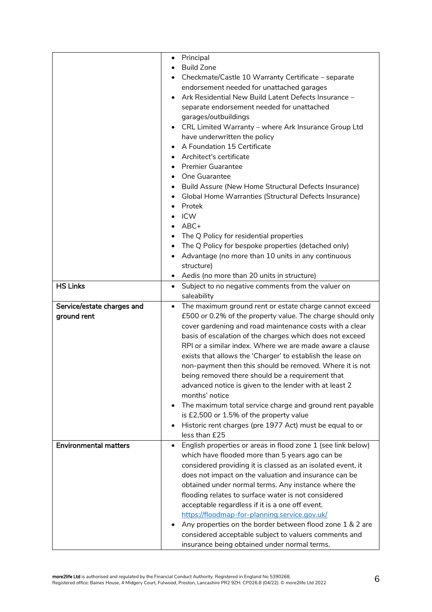|                              | Principal<br>٠                                                                                        |
|------------------------------|-------------------------------------------------------------------------------------------------------|
|                              | <b>Build Zone</b>                                                                                     |
|                              | Checkmate/Castle 10 Warranty Certificate - separate                                                   |
|                              | endorsement needed for unattached garages                                                             |
|                              | Ark Residential New Build Latent Defects Insurance -<br>$\bullet$                                     |
|                              | separate endorsement needed for unattached                                                            |
|                              | garages/outbuildings                                                                                  |
|                              | CRL Limited Warranty - where Ark Insurance Group Ltd<br>٠                                             |
|                              | have underwritten the policy                                                                          |
|                              | A Foundation 15 Certificate                                                                           |
|                              | Architect's certificate                                                                               |
|                              | <b>Premier Guarantee</b>                                                                              |
|                              | One Guarantee<br>$\bullet$                                                                            |
|                              | Build Assure (New Home Structural Defects Insurance)<br>٠                                             |
|                              | Global Home Warranties (Structural Defects Insurance)                                                 |
|                              | Protek                                                                                                |
|                              | <b>ICW</b>                                                                                            |
|                              | $ABC+$                                                                                                |
|                              | The Q Policy for residential properties                                                               |
|                              | The Q Policy for bespoke properties (detached only)                                                   |
|                              | Advantage (no more than 10 units in any continuous<br>٠                                               |
|                              | structure)                                                                                            |
|                              | Aedis (no more than 20 units in structure)<br>٠                                                       |
| <b>HS Links</b>              | Subject to no negative comments from the valuer on<br>$\bullet$                                       |
|                              | saleability                                                                                           |
| Service/estate charges and   | The maximum ground rent or estate charge cannot exceed<br>$\bullet$                                   |
| ground rent                  | £500 or 0.2% of the property value. The charge should only                                            |
|                              | cover gardening and road maintenance costs with a clear                                               |
|                              |                                                                                                       |
|                              | basis of escalation of the charges which does not exceed                                              |
|                              | RPI or a similar index. Where we are made aware a clause                                              |
|                              | exists that allows the 'Charger' to establish the lease on                                            |
|                              | non-payment then this should be removed. Where it is not                                              |
|                              | being removed there should be a requirement that                                                      |
|                              |                                                                                                       |
|                              | advanced notice is given to the lender with at least 2<br>months' notice                              |
|                              | ٠                                                                                                     |
|                              | The maximum total service charge and ground rent payable                                              |
|                              | is £2,500 or 1.5% of the property value<br>٠                                                          |
|                              | Historic rent charges (pre 1977 Act) must be equal to or                                              |
|                              | less than £25<br>$\bullet$                                                                            |
| <b>Environmental matters</b> | English properties or areas in flood zone 1 (see link below)                                          |
|                              | which have flooded more than 5 years ago can be                                                       |
|                              | considered providing it is classed as an isolated event, it                                           |
|                              | does not impact on the valuation and insurance can be                                                 |
|                              | obtained under normal terms. Any instance where the                                                   |
|                              | flooding relates to surface water is not considered                                                   |
|                              | acceptable regardless if it is a one off event.                                                       |
|                              | https://floodmap-for-planning.service.gov.uk/                                                         |
|                              | Any properties on the border between flood zone 1 & 2 are<br>$\bullet$                                |
|                              | considered acceptable subject to valuers comments and<br>insurance being obtained under normal terms. |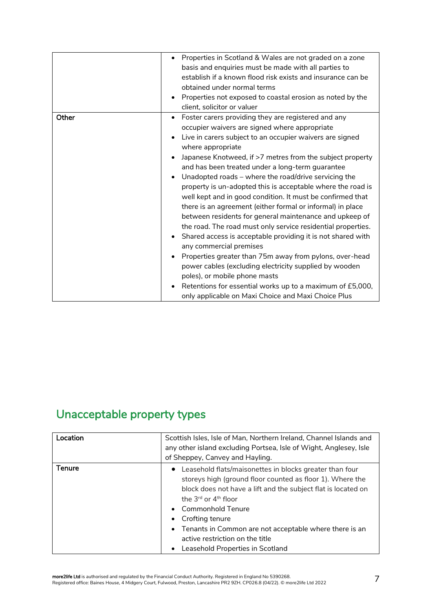|       | • Properties in Scotland & Wales are not graded on a zone                |
|-------|--------------------------------------------------------------------------|
|       | basis and enquiries must be made with all parties to                     |
|       | establish if a known flood risk exists and insurance can be              |
|       | obtained under normal terms                                              |
|       | Properties not exposed to coastal erosion as noted by the                |
|       | client, solicitor or valuer                                              |
| Other | Foster carers providing they are registered and any                      |
|       | occupier waivers are signed where appropriate                            |
|       | Live in carers subject to an occupier waivers are signed                 |
|       | where appropriate                                                        |
|       | Japanese Knotweed, if >7 metres from the subject property                |
|       | and has been treated under a long-term guarantee                         |
|       | Unadopted roads – where the road/drive servicing the<br>$\bullet$        |
|       | property is un-adopted this is acceptable where the road is              |
|       | well kept and in good condition. It must be confirmed that               |
|       | there is an agreement (either formal or informal) in place               |
|       | between residents for general maintenance and upkeep of                  |
|       | the road. The road must only service residential properties.             |
|       | Shared access is acceptable providing it is not shared with<br>$\bullet$ |
|       | any commercial premises                                                  |
|       | Properties greater than 75m away from pylons, over-head<br>٠             |
|       | power cables (excluding electricity supplied by wooden                   |
|       | poles), or mobile phone masts                                            |
|       | Retentions for essential works up to a maximum of £5,000,                |
|       | only applicable on Maxi Choice and Maxi Choice Plus                      |

# Unacceptable property types

| Location      | Scottish Isles, Isle of Man, Northern Ireland, Channel Islands and<br>any other island excluding Portsea, Isle of Wight, Anglesey, Isle                                                                                                                                                                                                                                                                                                    |
|---------------|--------------------------------------------------------------------------------------------------------------------------------------------------------------------------------------------------------------------------------------------------------------------------------------------------------------------------------------------------------------------------------------------------------------------------------------------|
|               | of Sheppey, Canvey and Hayling.                                                                                                                                                                                                                                                                                                                                                                                                            |
| <b>Tenure</b> | • Leasehold flats/maisonettes in blocks greater than four<br>storeys high (ground floor counted as floor 1). Where the<br>block does not have a lift and the subject flat is located on<br>the $3^{\text{rd}}$ or $4^{\text{th}}$ floor<br>Commonhold Tenure<br>$\bullet$<br>Crofting tenure<br>Tenants in Common are not acceptable where there is an<br>$\bullet$<br>active restriction on the title<br>Leasehold Properties in Scotland |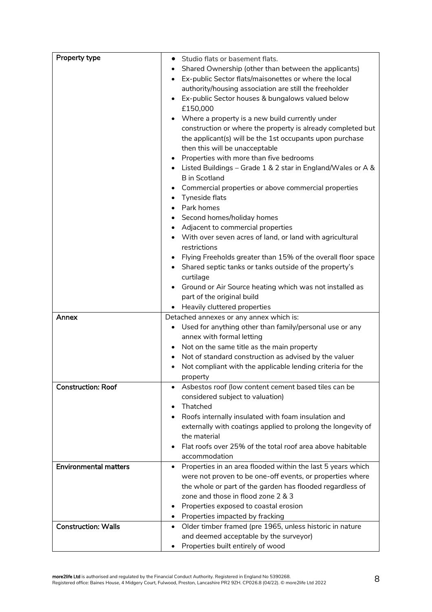| Property type                | Studio flats or basement flats.<br>٠                                      |
|------------------------------|---------------------------------------------------------------------------|
|                              | Shared Ownership (other than between the applicants)                      |
|                              | Ex-public Sector flats/maisonettes or where the local                     |
|                              | authority/housing association are still the freeholder                    |
|                              | Ex-public Sector houses & bungalows valued below                          |
|                              | £150,000                                                                  |
|                              | Where a property is a new build currently under<br>$\bullet$              |
|                              | construction or where the property is already completed but               |
|                              | the applicant(s) will be the 1st occupants upon purchase                  |
|                              | then this will be unacceptable                                            |
|                              | Properties with more than five bedrooms                                   |
|                              | • Listed Buildings - Grade 1 & 2 star in England/Wales or A &             |
|                              | <b>B</b> in Scotland                                                      |
|                              | Commercial properties or above commercial properties                      |
|                              | Tyneside flats<br>٠                                                       |
|                              | Park homes                                                                |
|                              | Second homes/holiday homes<br>$\bullet$                                   |
|                              | Adjacent to commercial properties                                         |
|                              | With over seven acres of land, or land with agricultural                  |
|                              | restrictions                                                              |
|                              | Flying Freeholds greater than 15% of the overall floor space<br>$\bullet$ |
|                              | Shared septic tanks or tanks outside of the property's                    |
|                              | curtilage                                                                 |
|                              | Ground or Air Source heating which was not installed as                   |
|                              | part of the original build                                                |
|                              | Heavily cluttered properties                                              |
| Annex                        | Detached annexes or any annex which is:                                   |
|                              | Used for anything other than family/personal use or any                   |
|                              | annex with formal letting                                                 |
|                              | Not on the same title as the main property<br>$\bullet$                   |
|                              | Not of standard construction as advised by the valuer<br>$\bullet$        |
|                              | Not compliant with the applicable lending criteria for the                |
|                              | property                                                                  |
| <b>Construction: Roof</b>    | Asbestos roof (low content cement based tiles can be                      |
|                              | considered subject to valuation)                                          |
|                              | Thatched                                                                  |
|                              | Roofs internally insulated with foam insulation and                       |
|                              | externally with coatings applied to prolong the longevity of              |
|                              | the material                                                              |
|                              | Flat roofs over 25% of the total roof area above habitable                |
|                              | accommodation                                                             |
| <b>Environmental matters</b> | Properties in an area flooded within the last 5 years which<br>$\bullet$  |
|                              | were not proven to be one-off events, or properties where                 |
|                              | the whole or part of the garden has flooded regardless of                 |
|                              | zone and those in flood zone 2 & 3                                        |
|                              | Properties exposed to coastal erosion<br>$\bullet$                        |
|                              | Properties impacted by fracking                                           |
| <b>Construction: Walls</b>   | Older timber framed (pre 1965, unless historic in nature<br>$\bullet$     |
|                              | and deemed acceptable by the surveyor)                                    |
|                              | Properties built entirely of wood                                         |
|                              |                                                                           |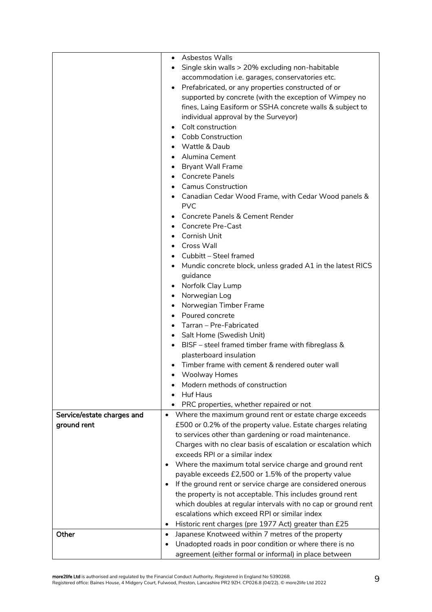|                            | Asbestos Walls<br>$\bullet$                                              |
|----------------------------|--------------------------------------------------------------------------|
|                            | Single skin walls > 20% excluding non-habitable<br>$\bullet$             |
|                            | accommodation i.e. garages, conservatories etc.                          |
|                            | Prefabricated, or any properties constructed of or<br>٠                  |
|                            | supported by concrete (with the exception of Wimpey no                   |
|                            | fines, Laing Easiform or SSHA concrete walls & subject to                |
|                            | individual approval by the Surveyor)                                     |
|                            | Colt construction<br>$\bullet$                                           |
|                            | <b>Cobb Construction</b>                                                 |
|                            | Wattle & Daub                                                            |
|                            | Alumina Cement                                                           |
|                            | <b>Bryant Wall Frame</b><br>٠                                            |
|                            | <b>Concrete Panels</b>                                                   |
|                            | <b>Camus Construction</b>                                                |
|                            | Canadian Cedar Wood Frame, with Cedar Wood panels &                      |
|                            | <b>PVC</b>                                                               |
|                            | <b>Concrete Panels &amp; Cement Render</b>                               |
|                            | <b>Concrete Pre-Cast</b>                                                 |
|                            | Cornish Unit                                                             |
|                            | <b>Cross Wall</b>                                                        |
|                            | Cubbitt - Steel framed                                                   |
|                            | Mundic concrete block, unless graded A1 in the latest RICS               |
|                            | guidance                                                                 |
|                            | Norfolk Clay Lump<br>$\bullet$                                           |
|                            | Norwegian Log<br>$\bullet$                                               |
|                            | Norwegian Timber Frame<br>$\bullet$                                      |
|                            | Poured concrete<br>$\bullet$                                             |
|                            | Tarran - Pre-Fabricated                                                  |
|                            | Salt Home (Swedish Unit)<br>$\bullet$                                    |
|                            | BISF - steel framed timber frame with fibreglass &<br>$\bullet$          |
|                            | plasterboard insulation                                                  |
|                            | Timber frame with cement & rendered outer wall                           |
|                            | Woolway Homes                                                            |
|                            | Modern methods of construction                                           |
|                            | Huf Haus                                                                 |
|                            | PRC properties, whether repaired or not                                  |
| Service/estate charges and | • Where the maximum ground rent or estate charge exceeds                 |
| ground rent                | £500 or 0.2% of the property value. Estate charges relating              |
|                            | to services other than gardening or road maintenance.                    |
|                            | Charges with no clear basis of escalation or escalation which            |
|                            | exceeds RPI or a similar index                                           |
|                            | Where the maximum total service charge and ground rent<br>٠              |
|                            | payable exceeds £2,500 or 1.5% of the property value                     |
|                            | If the ground rent or service charge are considered onerous<br>$\bullet$ |
|                            | the property is not acceptable. This includes ground rent                |
|                            | which doubles at regular intervals with no cap or ground rent            |
|                            | escalations which exceed RPI or similar index                            |
|                            | Historic rent charges (pre 1977 Act) greater than £25<br>$\bullet$       |
| Other                      | Japanese Knotweed within 7 metres of the property<br>$\bullet$           |
|                            | Unadopted roads in poor condition or where there is no<br>٠              |
|                            | agreement (either formal or informal) in place between                   |